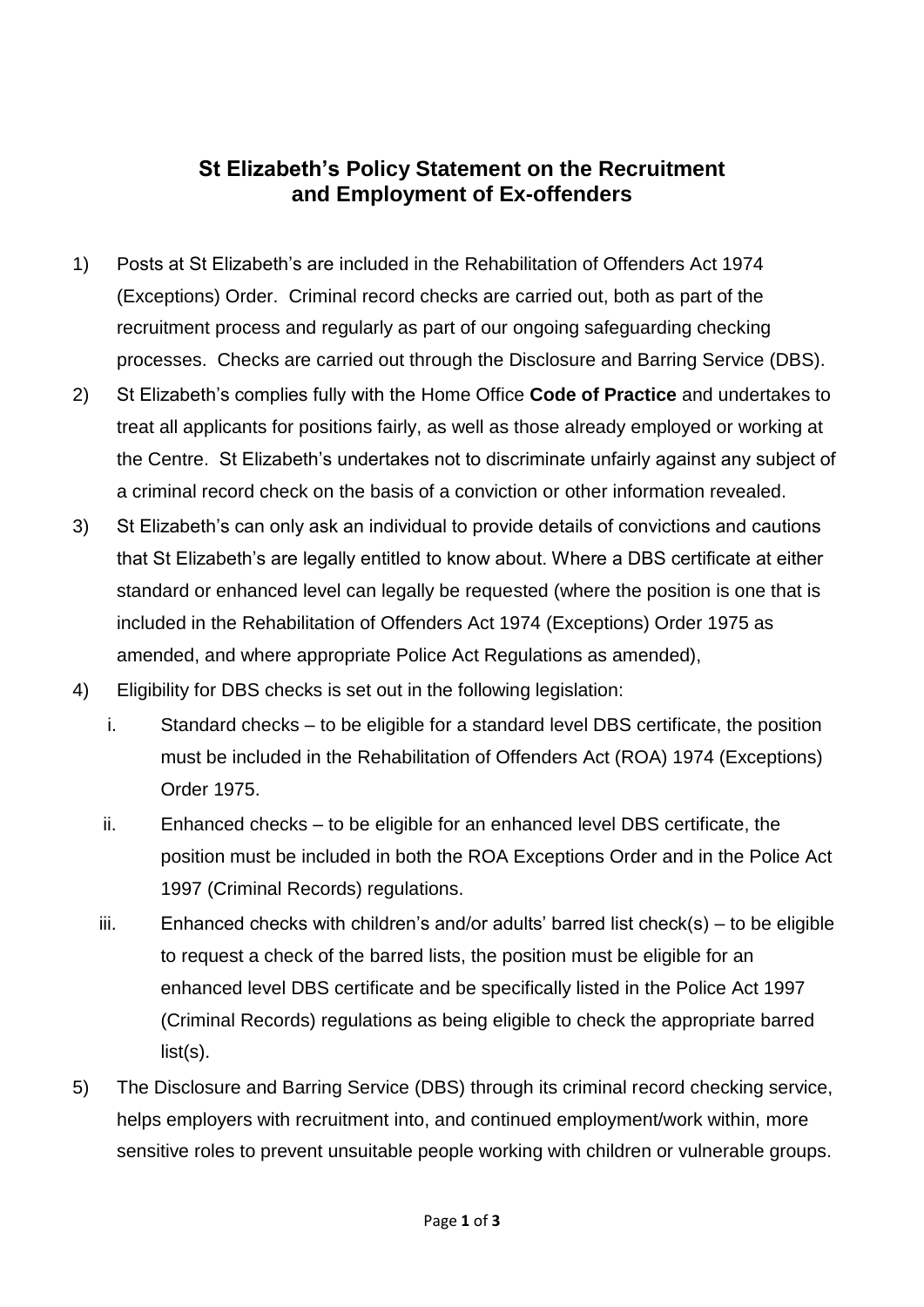## **St Elizabeth's Policy Statement on the Recruitment and Employment of Ex-offenders**

- 1) Posts at St Elizabeth's are included in the Rehabilitation of Offenders Act 1974 (Exceptions) Order. Criminal record checks are carried out, both as part of the recruitment process and regularly as part of our ongoing safeguarding checking processes. Checks are carried out through the Disclosure and Barring Service (DBS).
- 2) St Elizabeth's complies fully with the Home Office **Code of Practice** and undertakes to treat all applicants for positions fairly, as well as those already employed or working at the Centre. St Elizabeth's undertakes not to discriminate unfairly against any subject of a criminal record check on the basis of a conviction or other information revealed.
- 3) St Elizabeth's can only ask an individual to provide details of convictions and cautions that St Elizabeth's are legally entitled to know about. Where a DBS certificate at either standard or enhanced level can legally be requested (where the position is one that is included in the Rehabilitation of Offenders Act 1974 (Exceptions) Order 1975 as amended, and where appropriate Police Act Regulations as amended),
- 4) Eligibility for DBS checks is set out in the following legislation:
	- i. Standard checks to be eligible for a standard level DBS certificate, the position must be included in the Rehabilitation of Offenders Act (ROA) 1974 (Exceptions) Order 1975.
	- ii. Enhanced checks to be eligible for an enhanced level DBS certificate, the position must be included in both the ROA Exceptions Order and in the Police Act 1997 (Criminal Records) regulations.
	- iii. Enhanced checks with children's and/or adults' barred list check(s) to be eligible to request a check of the barred lists, the position must be eligible for an enhanced level DBS certificate and be specifically listed in the Police Act 1997 (Criminal Records) regulations as being eligible to check the appropriate barred list(s).
- 5) The Disclosure and Barring Service (DBS) through its criminal record checking service, helps employers with recruitment into, and continued employment/work within, more sensitive roles to prevent unsuitable people working with children or vulnerable groups.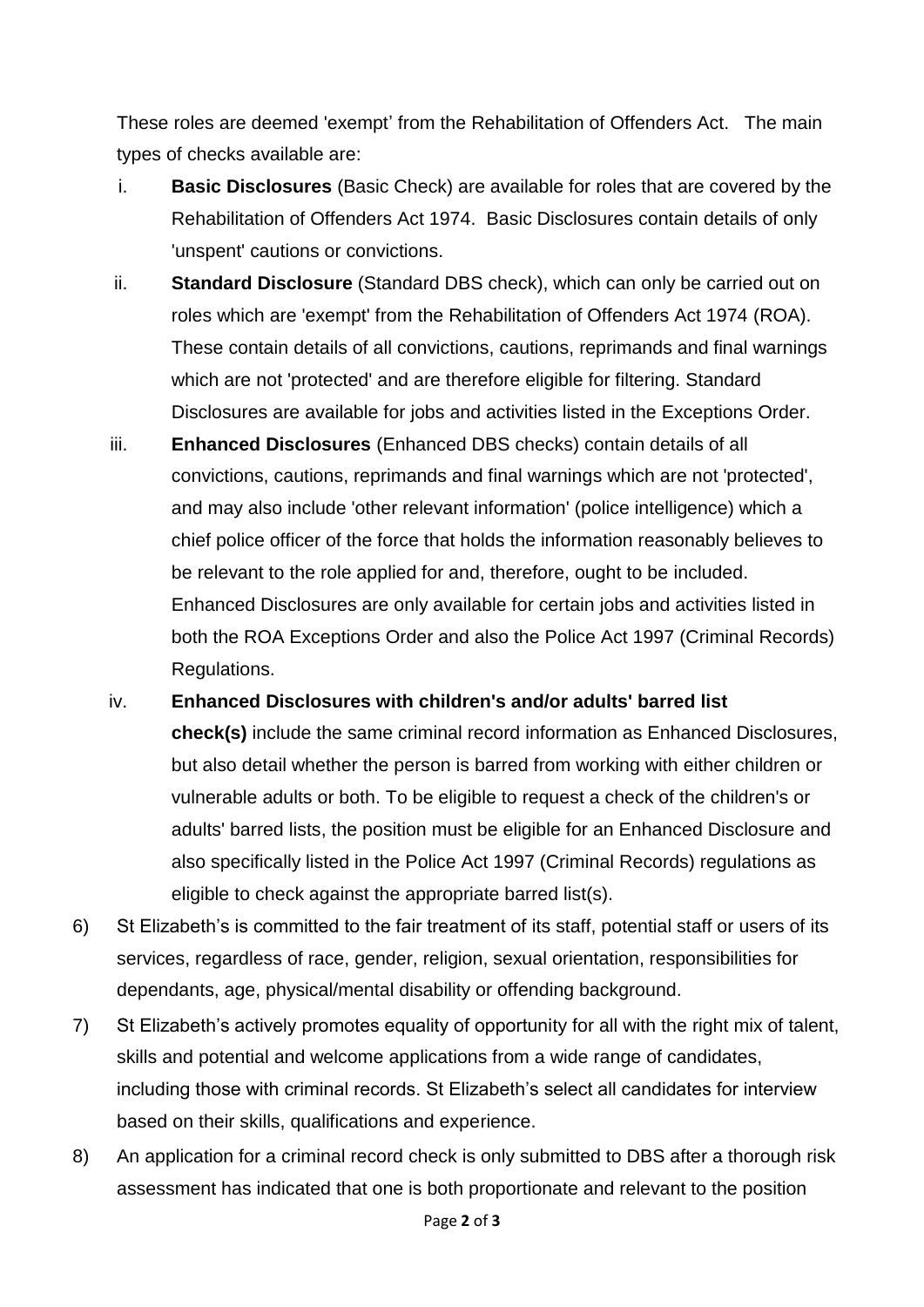These roles are deemed 'exempt' from the Rehabilitation of Offenders Act. The main types of checks available are:

- i. **Basic Disclosures** (Basic Check) are available for roles that are covered by the Rehabilitation of Offenders Act 1974. Basic Disclosures contain details of only 'unspent' cautions or convictions.
- ii. **Standard Disclosure** (Standard DBS check), which can only be carried out on roles which are 'exempt' from the Rehabilitation of Offenders Act 1974 (ROA). These contain details of all convictions, cautions, reprimands and final warnings which are not 'protected' and are therefore eligible for filtering. Standard Disclosures are available for jobs and activities listed in the Exceptions Order.
- iii. **Enhanced Disclosures** (Enhanced DBS checks) contain details of all convictions, cautions, reprimands and final warnings which are not 'protected', and may also include 'other relevant information' (police intelligence) which a chief police officer of the force that holds the information reasonably believes to be relevant to the role applied for and, therefore, ought to be included. Enhanced Disclosures are only available for certain jobs and activities listed in both the ROA Exceptions Order and also the Police Act 1997 (Criminal Records) Regulations.
- iv. **Enhanced Disclosures with children's and/or adults' barred list check(s)** include the same criminal record information as Enhanced Disclosures, but also detail whether the person is barred from working with either children or vulnerable adults or both. To be eligible to request a check of the children's or adults' barred lists, the position must be eligible for an Enhanced Disclosure and also specifically listed in the Police Act 1997 (Criminal Records) regulations as eligible to check against the appropriate barred list(s).
- 6) St Elizabeth's is committed to the fair treatment of its staff, potential staff or users of its services, regardless of race, gender, religion, sexual orientation, responsibilities for dependants, age, physical/mental disability or offending background.
- 7) St Elizabeth's actively promotes equality of opportunity for all with the right mix of talent, skills and potential and welcome applications from a wide range of candidates, including those with criminal records. St Elizabeth's select all candidates for interview based on their skills, qualifications and experience.
- 8) An application for a criminal record check is only submitted to DBS after a thorough risk assessment has indicated that one is both proportionate and relevant to the position